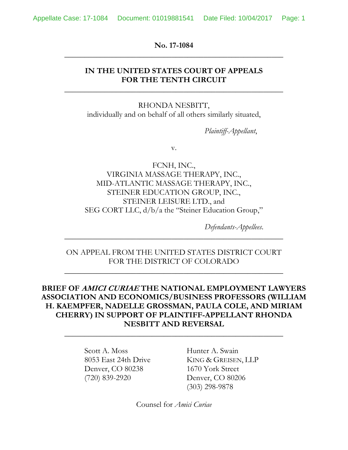**No. 17-1084 \_\_\_\_\_\_\_\_\_\_\_\_\_\_\_\_\_\_\_\_\_\_\_\_\_\_\_\_\_\_\_\_\_\_\_\_\_\_\_\_\_\_\_\_\_\_\_\_\_\_\_\_\_\_\_**

## **IN THE UNITED STATES COURT OF APPEALS FOR THE TENTH CIRCUIT**

**\_\_\_\_\_\_\_\_\_\_\_\_\_\_\_\_\_\_\_\_\_\_\_\_\_\_\_\_\_\_\_\_\_\_\_\_\_\_\_\_\_\_\_\_\_\_\_\_\_\_\_\_\_\_\_**

RHONDA NESBITT, individually and on behalf of all others similarly situated,

*Plaintiff-Appellant*,

v.

FCNH, INC., VIRGINIA MASSAGE THERAPY, INC., MID-ATLANTIC MASSAGE THERAPY, INC., STEINER EDUCATION GROUP, INC., STEINER LEISURE LTD., and SEG CORT LLC, d/b/a the "Steiner Education Group,"

*Defendants-Appellees*.

## ON APPEAL FROM THE UNITED STATES DISTRICT COURT FOR THE DISTRICT OF COLORADO

**\_\_\_\_\_\_\_\_\_\_\_\_\_\_\_\_\_\_\_\_\_\_\_\_\_\_\_\_\_\_\_\_\_\_\_\_\_\_\_\_\_\_\_\_\_\_\_\_\_\_\_\_\_\_\_**

**\_\_\_\_\_\_\_\_\_\_\_\_\_\_\_\_\_\_\_\_\_\_\_\_\_\_\_\_\_\_\_\_\_\_\_\_\_\_\_\_\_\_\_\_\_\_\_\_\_\_\_\_\_\_\_**

## **BRIEF OF AMICI CURIAE THE NATIONAL EMPLOYMENT LAWYERS ASSOCIATION AND ECONOMICS/BUSINESS PROFESSORS (WILLIAM H. KAEMPFER, NADELLE GROSSMAN, PAULA COLE, AND MIRIAM CHERRY) IN SUPPORT OF PLAINTIFF-APPELLANT RHONDA NESBITT AND REVERSAL**

**\_\_\_\_\_\_\_\_\_\_\_\_\_\_\_\_\_\_\_\_\_\_\_\_\_\_\_\_\_\_\_\_\_\_\_\_\_\_\_\_\_\_\_\_\_\_\_\_\_\_\_\_\_\_\_**

Scott A. Moss Hunter A. Swain Denver, CO 80238 1670 York Street (720) 839-2920 Denver, CO 80206

8053 East 24th Drive KING & GREISEN, LLP (303) 298-9878

Counsel for *Amici Curiae*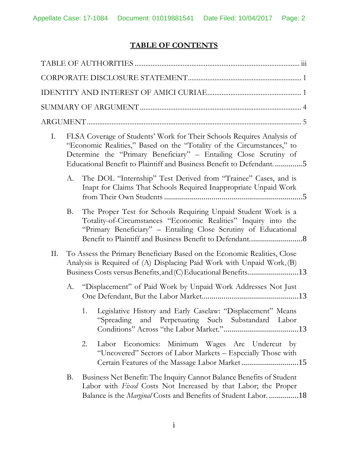# **TABLE OF CONTENTS**

| Ι. |    | FLSA Coverage of Students' Work for Their Schools Requires Analysis of<br>"Economic Realities," Based on the "Totality of the Circumstances," to<br>Determine the "Primary Beneficiary" - Entailing Close Scrutiny of<br>Educational Benefit to Plaintiff and Business Benefit to Defendant5 |
|----|----|----------------------------------------------------------------------------------------------------------------------------------------------------------------------------------------------------------------------------------------------------------------------------------------------|
|    | А. | The DOL "Internship" Test Derived from "Trainee" Cases, and is<br>Inapt for Claims That Schools Required Inappropriate Unpaid Work                                                                                                                                                           |
|    | Β. | The Proper Test for Schools Requiring Unpaid Student Work is a<br>Totality-of-Circumstances "Economic Realities" Inquiry into the<br>"Primary Beneficiary" – Entailing Close Scrutiny of Educational                                                                                         |
| П. |    | To Assess the Primary Beneficiary Based on the Economic Realities, Close<br>Analysis is Required of (A) Displacing Paid Work with Unpaid Work, (B)<br>Business Costs versus Benefits, and (C) Educational Benefits13                                                                         |
|    | А. | "Displacement" of Paid Work by Unpaid Work Addresses Not Just                                                                                                                                                                                                                                |
|    |    | 1. Legislative History and Early Caselaw: "Displacement" Means<br>"Spreading and Perpetuating Such Substandard Labor                                                                                                                                                                         |
|    |    | Labor Economics: Minimum Wages Are Undercut by<br>2.<br>"Uncovered" Sectors of Labor Markets - Especially Those with<br>Certain Features of the Massage Labor Market15                                                                                                                       |
|    | Β. | Business Net Benefit: The Inquiry Cannot Balance Benefits of Student<br>Labor with Fixed Costs Not Increased by that Labor; the Proper<br>Balance is the <i>Marginal</i> Costs and Benefits of Student Labor18                                                                               |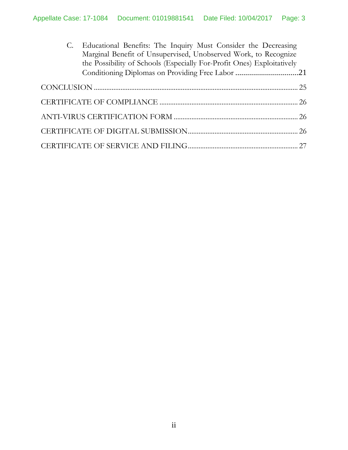| C. Educational Benefits: The Inquiry Must Consider the Decreasing<br>Marginal Benefit of Unsupervised, Unobserved Work, to Recognize<br>the Possibility of Schools (Especially For-Profit Ones) Exploitatively<br>Conditioning Diplomas on Providing Free Labor 21 |  |
|--------------------------------------------------------------------------------------------------------------------------------------------------------------------------------------------------------------------------------------------------------------------|--|
|                                                                                                                                                                                                                                                                    |  |
|                                                                                                                                                                                                                                                                    |  |
|                                                                                                                                                                                                                                                                    |  |
|                                                                                                                                                                                                                                                                    |  |
|                                                                                                                                                                                                                                                                    |  |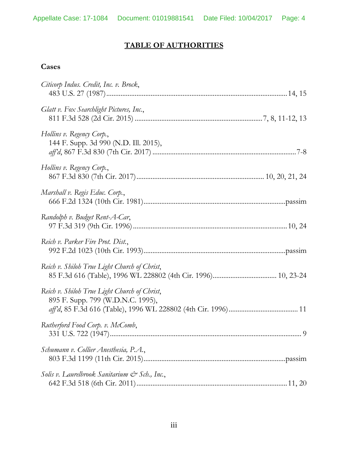# **TABLE OF AUTHORITIES**

## **Cases**

| Citicorp Indus. Credit, Inc. v. Brock,                                            |
|-----------------------------------------------------------------------------------|
| Glatt v. Fox Searchlight Pictures, Inc.,                                          |
| Hollins v. Regency Corp.,<br>144 F. Supp. 3d 990 (N.D. Ill. 2015),                |
| Hollins v. Regency Corp.,                                                         |
| Marshall v. Regis Educ. Corp.,                                                    |
| Randolph v. Budget Rent-A-Car,                                                    |
| Reich v. Parker Fire Prot. Dist.,                                                 |
| Reich v. Shiloh True Light Church of Christ,                                      |
| Reich v. Shiloh True Light Church of Christ,<br>895 F. Supp. 799 (W.D.N.C. 1995), |
| Rutherford Food Corp. v. McComb,                                                  |
| Schumann v. Collier Anesthesia, P.A.,                                             |
| Solis v. Laurelbrook Sanitarium & Sch., Inc.,                                     |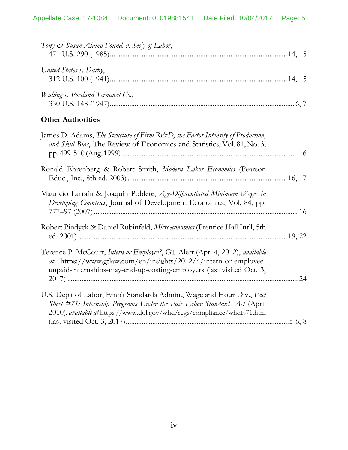| United States v. Darby,                                                                                                                                                                                                       |  |
|-------------------------------------------------------------------------------------------------------------------------------------------------------------------------------------------------------------------------------|--|
| Walling v. Portland Terminal Co.,                                                                                                                                                                                             |  |
| <b>Other Authorities</b>                                                                                                                                                                                                      |  |
| James D. Adams, The Structure of Firm R&D, the Factor Intensity of Production,<br>and Skill Bias, The Review of Economics and Statistics, Vol. 81, No. 3,                                                                     |  |
| Ronald Ehrenberg & Robert Smith, Modern Labor Economics (Pearson                                                                                                                                                              |  |
| Mauricio Larraín & Joaquín Poblete, Age-Differentiated Minimum Wages in<br>Developing Countries, Journal of Development Economics, Vol. 84, pp.                                                                               |  |
| Robert Pindyck & Daniel Rubinfeld, Microeconomics (Prentice Hall Int'l, 5th                                                                                                                                                   |  |
| Terence P. McCourt, Intern or Employee?, GT Alert (Apr. 4, 2012), available<br>at https://www.gtlaw.com/en/insights/2012/4/intern-or-employee-<br>unpaid-internships-may-end-up-costing-employers (last visited Oct. 3,<br>24 |  |

| U.S. Dep't of Labor, Emp't Standards Admin., Wage and Hour Div., Fact    |  |
|--------------------------------------------------------------------------|--|
| Sheet #71: Internship Programs Under the Fair Labor Standards Act (April |  |
| 2010), available at https://www.dol.gov/whd/regs/compliance/whdfs71.htm  |  |
|                                                                          |  |
|                                                                          |  |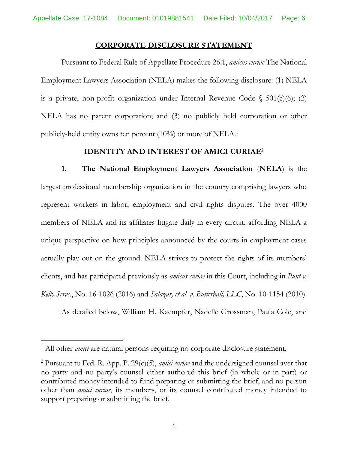### **CORPORATE DISCLOSURE STATEMENT**

Pursuant to Federal Rule of Appellate Procedure 26.1, *amicus curiae* The National Employment Lawyers Association (NELA) makes the following disclosure: (1) NELA is a private, non-profit organization under Internal Revenue Code  $\S$  501(c)(6); (2) NELA has no parent corporation; and (3) no publicly held corporation or other publicly-held entity owns ten percent (10%) or more of NELA.<sup>1</sup>

### **IDENTITY AND INTEREST OF AMICI CURIAE<sup>2</sup>**

**1. The National Employment Lawyers Association** (**NELA**) is the largest professional membership organization in the country comprising lawyers who represent workers in labor, employment and civil rights disputes. The over 4000 members of NELA and its affiliates litigate daily in every circuit, affording NELA a unique perspective on how principles announced by the courts in employment cases actually play out on the ground. NELA strives to protect the rights of its members' clients, and has participated previously as *amicus curiae* in this Court, including in *Punt v. Kelly Servs.*, No. 16-1026 (2016) and *Salazar, et al. v. Butterball, LLC*, No. 10-1154 (2010).

As detailed below, William H. Kaempfer, Nadelle Grossman, Paula Cole, and

l

<sup>&</sup>lt;sup>1</sup> All other *amici* are natural persons requiring no corporate disclosure statement.

<sup>2</sup> Pursuant to Fed. R. App. P. 29(c)(5), *amici curiae* and the undersigned counsel aver that no party and no party's counsel either authored this brief (in whole or in part) or contributed money intended to fund preparing or submitting the brief, and no person other than *amici curiae*, its members, or its counsel contributed money intended to support preparing or submitting the brief.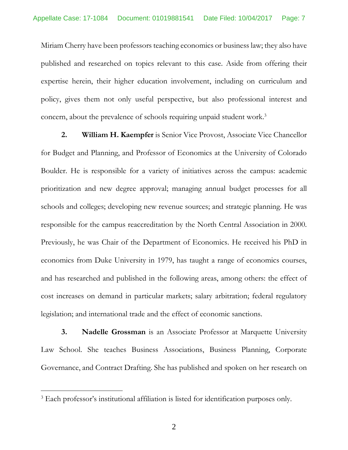Miriam Cherry have been professors teaching economics or business law; they also have published and researched on topics relevant to this case. Aside from offering their expertise herein, their higher education involvement, including on curriculum and policy, gives them not only useful perspective, but also professional interest and concern, about the prevalence of schools requiring unpaid student work. 3

**2. William H. Kaempfer** is Senior Vice Provost, Associate Vice Chancellor for Budget and Planning, and Professor of Economics at the University of Colorado Boulder. He is responsible for a variety of initiatives across the campus: academic prioritization and new degree approval; managing annual budget processes for all schools and colleges; developing new revenue sources; and strategic planning. He was responsible for the campus reaccreditation by the North Central Association in 2000. Previously, he was Chair of the Department of Economics. He received his PhD in economics from Duke University in 1979, has taught a range of economics courses, and has researched and published in the following areas, among others: the effect of cost increases on demand in particular markets; salary arbitration; federal regulatory legislation; and international trade and the effect of economic sanctions.

**3. Nadelle Grossman** is an Associate Professor at Marquette University Law School. She teaches Business Associations, Business Planning, Corporate Governance, and Contract Drafting. She has published and spoken on her research on

<sup>&</sup>lt;sup>3</sup> Each professor's institutional affiliation is listed for identification purposes only.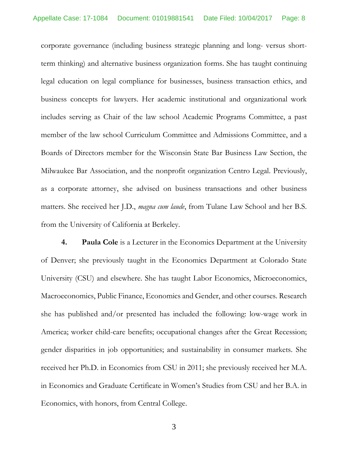corporate governance (including business strategic planning and long- versus shortterm thinking) and alternative business organization forms. She has taught continuing legal education on legal compliance for businesses, business transaction ethics, and business concepts for lawyers. Her academic institutional and organizational work includes serving as Chair of the law school Academic Programs Committee, a past member of the law school Curriculum Committee and Admissions Committee, and a Boards of Directors member for the Wisconsin State Bar Business Law Section, the Milwaukee Bar Association, and the nonprofit organization Centro Legal. Previously, as a corporate attorney, she advised on business transactions and other business matters. She received her J.D., *magna cum laude*, from Tulane Law School and her B.S. from the University of California at Berkeley.

**4. Paula Cole** is a Lecturer in the Economics Department at the University of Denver; she previously taught in the Economics Department at Colorado State University (CSU) and elsewhere. She has taught Labor Economics, Microeconomics, Macroeconomics, Public Finance, Economics and Gender, and other courses. Research she has published and/or presented has included the following: low-wage work in America; worker child-care benefits; occupational changes after the Great Recession; gender disparities in job opportunities; and sustainability in consumer markets. She received her Ph.D. in Economics from CSU in 2011; she previously received her M.A. in Economics and Graduate Certificate in Women's Studies from CSU and her B.A. in Economics, with honors, from Central College.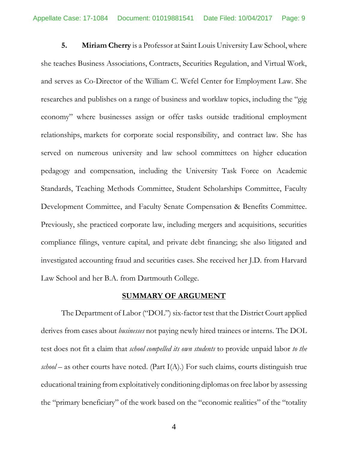**5. Miriam Cherry** is a Professor at Saint Louis University Law School,where she teaches Business Associations, Contracts, Securities Regulation, and Virtual Work, and serves as Co-Director of the William C. Wefel Center for Employment Law. She researches and publishes on a range of business and worklaw topics, including the "gig economy" where businesses assign or offer tasks outside traditional employment relationships, markets for corporate social responsibility, and contract law. She has served on numerous university and law school committees on higher education pedagogy and compensation, including the University Task Force on Academic Standards, Teaching Methods Committee, Student Scholarships Committee, Faculty Development Committee, and Faculty Senate Compensation & Benefits Committee. Previously, she practiced corporate law, including mergers and acquisitions, securities compliance filings, venture capital, and private debt financing; she also litigated and investigated accounting fraud and securities cases. She received her J.D. from Harvard Law School and her B.A. from Dartmouth College.

#### **SUMMARY OF ARGUMENT**

The Department of Labor ("DOL") six-factor test that the District Court applied derives from cases about *businesses* not paying newly hired trainees or interns. The DOL test does not fit a claim that *school compelled its own students* to provide unpaid labor *to the*  $\mathit{school}$  – as other courts have noted. (Part I(A).) For such claims, courts distinguish true educational training from exploitatively conditioning diplomas on free labor by assessing the "primary beneficiary" of the work based on the "economic realities" of the "totality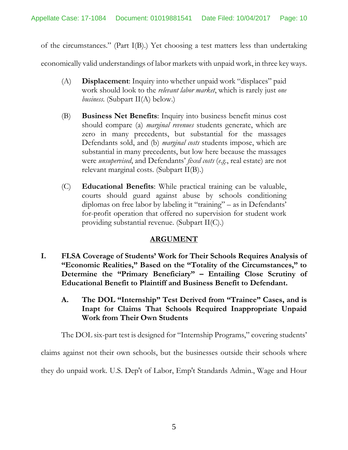of the circumstances." (Part I(B).) Yet choosing a test matters less than undertaking

economically valid understandings of labor markets with unpaid work, in three keyways.

- (A) **Displacement**: Inquiry into whether unpaid work "displaces" paid work should look to the *relevant labor market*, which is rarely just *one business*. (Subpart II(A) below.)
- (B) **Business Net Benefits**: Inquiry into business benefit minus cost should compare (a) *marginal revenues* students generate, which are zero in many precedents, but substantial for the massages Defendants sold, and (b) *marginal costs* students impose, which are substantial in many precedents, but low here because the massages were *unsupervised*, and Defendants' *fixed costs* (*e.g.*, real estate) are not relevant marginal costs. (Subpart II(B).)
- (C) **Educational Benefits**: While practical training can be valuable, courts should guard against abuse by schools conditioning diplomas on free labor by labeling it "training" – as in Defendants' for-profit operation that offered no supervision for student work providing substantial revenue. (Subpart II(C).)

## **ARGUMENT**

- **I. FLSA Coverage of Students' Work for Their Schools Requires Analysis of "Economic Realities," Based on the "Totality of the Circumstances," to Determine the "Primary Beneficiary" – Entailing Close Scrutiny of Educational Benefit to Plaintiff and Business Benefit to Defendant.**
	- **A. The DOL "Internship" Test Derived from "Trainee" Cases, and is Inapt for Claims That Schools Required Inappropriate Unpaid Work from Their Own Students**

The DOL six-part test is designed for "Internship Programs," covering students'

claims against not their own schools, but the businesses outside their schools where

they do unpaid work. U.S. Dep't of Labor, Emp't Standards Admin., Wage and Hour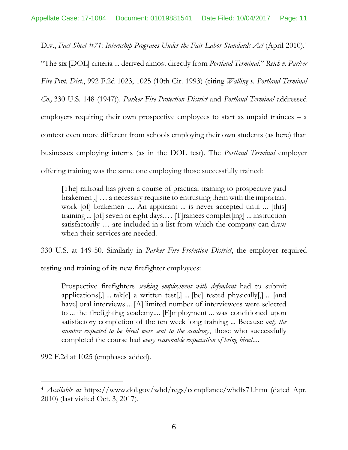Div., *Fact Sheet #71: Internship Programs Under the Fair Labor Standards Act* (April 2010). 4 "The six [DOL] criteria ... derived almost directly from *Portland Terminal*." *Reich v. Parker Fire Prot. Dist.*, 992 F.2d 1023, 1025 (10th Cir. 1993) (citing *Walling v. Portland Terminal Co.,* 330 U.S. 148 (1947)). *Parker Fire Protection District* and *Portland Terminal* addressed employers requiring their own prospective employees to start as unpaid trainees  $- a$ context even more different from schools employing their own students (as here) than businesses employing interns (as in the DOL test). The *Portland Terminal* employer offering training was the same one employing those successfully trained:

[The] railroad has given a course of practical training to prospective yard brakemen[,] … a necessary requisite to entrusting them with the important work [of] brakemen .... An applicant ... is never accepted until ... [this] training ... [of] seven or eight days.… [T]rainees complet[ing] ... instruction satisfactorily … are included in a list from which the company can draw when their services are needed.

330 U.S. at 149-50. Similarly in *Parker Fire Protection District*, the employer required

testing and training of its new firefighter employees:

Prospective firefighters *seeking employment with defendant* had to submit applications[,] ... tak[e] a written test[,] ... [be] tested physically[,] ... [and have] oral interviews.... [A] limited number of interviewees were selected to ... the firefighting academy.... [E]mployment ... was conditioned upon satisfactory completion of the ten week long training ... Because *only the number expected to be hired were sent to the academy*, those who successfully completed the course had *every reasonable expectation of being hired*....

992 F.2d at 1025 (emphases added).

<sup>4</sup> *Available at* https://www.dol.gov/whd/regs/compliance/whdfs71.htm (dated Apr. 2010) (last visited Oct. 3, 2017).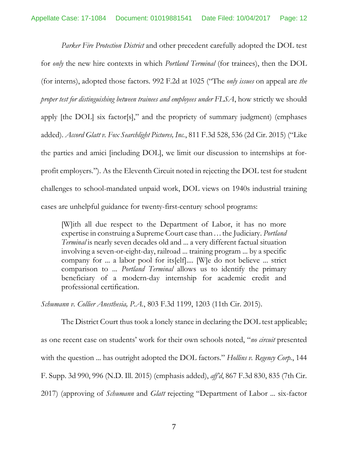*Parker Fire Protection District* and other precedent carefully adopted the DOL test for *only* the new hire contexts in which *Portland Terminal* (for trainees), then the DOL (for interns), adopted those factors. 992 F.2d at 1025 ("The *only issues* on appeal are *the proper test for distinguishing between trainees and employees under FLSA*, how strictly we should apply [the DOL] six factor[s]," and the propriety of summary judgment) (emphases added). *Accord Glatt v. Fox Searchlight Pictures, Inc.*, 811 F.3d 528, 536 (2d Cir. 2015) ("Like the parties and amici [including DOL], we limit our discussion to internships at forprofit employers."). As the Eleventh Circuit noted in rejecting the DOL test for student challenges to school-mandated unpaid work, DOL views on 1940s industrial training cases are unhelpful guidance for twenty-first-century school programs:

[W]ith all due respect to the Department of Labor, it has no more expertise in construing a Supreme Court case than…the Judiciary. *Portland Terminal* is nearly seven decades old and ... a very different factual situation involving a seven-or-eight-day, railroad ... training program ... by a specific company for ... a labor pool for its[elf].... [W]e do not believe ... strict comparison to ... *Portland Terminal* allows us to identify the primary beneficiary of a modern-day internship for academic credit and professional certification.

*Schumann v. Collier Anesthesia, P.A.*, 803 F.3d 1199, 1203 (11th Cir. 2015).

The District Court thus took a lonely stance in declaring the DOL test applicable; as one recent case on students' work for their own schools noted, "*no circuit* presented with the question ... has outright adopted the DOL factors." *Hollins v. Regency Corp.*, 144 F. Supp. 3d 990, 996 (N.D. Ill. 2015) (emphasis added), *aff'd*, 867 F.3d 830, 835 (7th Cir. 2017) (approving of *Schumann* and *Glatt* rejecting "Department of Labor ... six-factor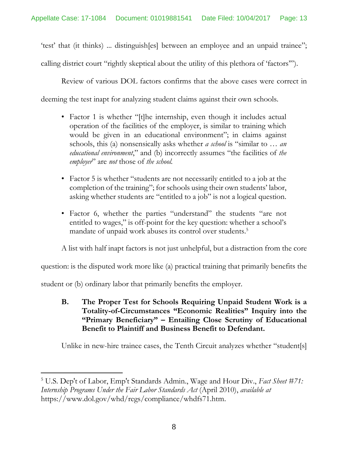'test' that (it thinks) ... distinguish[es] between an employee and an unpaid trainee"; calling district court "rightly skeptical about the utility of this plethora of 'factors'").

Review of various DOL factors confirms that the above cases were correct in

deeming the test inapt for analyzing student claims against their own schools.

- Factor 1 is whether "[t]he internship, even though it includes actual operation of the facilities of the employer, is similar to training which would be given in an educational environment"; in claims against schools, this (a) nonsensically asks whether *a school* is "similar to … *an educational environment*," and (b) incorrectly assumes "the facilities of *the employer*" are *not* those of *the school.*
- Factor 5 is whether "students are not necessarily entitled to a job at the completion of the training"; for schools using their own students' labor, asking whether students are "entitled to a job" is not a logical question.
- Factor 6, whether the parties "understand" the students "are not entitled to wages," is off-point for the key question: whether a school's mandate of unpaid work abuses its control over students. 5

A list with half inapt factors is not just unhelpful, but a distraction from the core

question: is the disputed work more like (a) practical training that primarily benefits the

student or (b) ordinary labor that primarily benefits the employer.

l

**B. The Proper Test for Schools Requiring Unpaid Student Work is a Totality-of-Circumstances "Economic Realities" Inquiry into the "Primary Beneficiary" – Entailing Close Scrutiny of Educational Benefit to Plaintiff and Business Benefit to Defendant.**

Unlike in new-hire trainee cases, the Tenth Circuit analyzes whether "student[s]

<sup>5</sup> U.S. Dep't of Labor, Emp't Standards Admin., Wage and Hour Div., *Fact Sheet #71: Internship Programs Under the Fair Labor Standards Act* (April 2010), *available at* https://www.dol.gov/whd/regs/compliance/whdfs71.htm.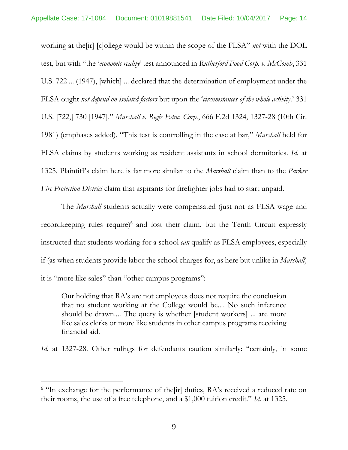working at the[ir] [c]ollege would be within the scope of the FLSA" *not* with the DOL test, but with "the '*economic reality*' test announced in *Rutherford Food Corp. v. McComb*, 331 U.S. 722 ... (1947), [which] ... declared that the determination of employment under the FLSA ought *not depend on isolated factors* but upon the '*circumstances of the whole activity*.' 331 U.S. [722,] 730 [1947]." *Marshall v. Regis Educ. Corp.*, 666 F.2d 1324, 1327-28 (10th Cir. 1981) (emphases added). "This test is controlling in the case at bar," *Marshall* held for FLSA claims by students working as resident assistants in school dormitories. *Id.* at 1325. Plaintiff's claim here is far more similar to the *Marshall* claim than to the *Parker Fire Protection District* claim that aspirants for firefighter jobs had to start unpaid.

The *Marshall* students actually were compensated (just not as FLSA wage and recordkeeping rules require)<sup>6</sup> and lost their claim, but the Tenth Circuit expressly instructed that students working for a school *can* qualify as FLSA employees, especially if (as when students provide labor the school charges for, as here but unlike in *Marshall*) it is "more like sales" than "other campus programs":

Our holding that RA's are not employees does not require the conclusion that no student working at the College would be.... No such inference should be drawn.... The query is whether [student workers] ... are more like sales clerks or more like students in other campus programs receiving financial aid.

*Id.* at 1327-28. Other rulings for defendants caution similarly: "certainly, in some

<sup>&</sup>lt;sup>6</sup> "In exchange for the performance of the [ir] duties, RA's received a reduced rate on their rooms, the use of a free telephone, and a \$1,000 tuition credit." *Id.* at 1325.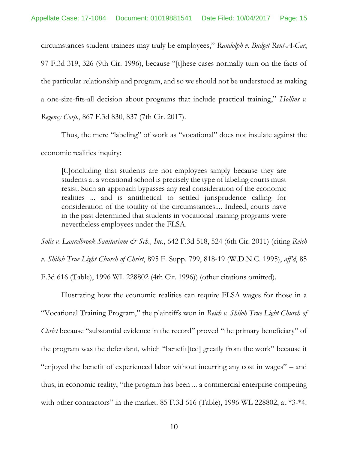circumstances student trainees may truly be employees," *Randolph v. Budget Rent-A-Car*, 97 F.3d 319, 326 (9th Cir. 1996), because "[t]hese cases normally turn on the facts of the particular relationship and program, and so we should not be understood as making a one-size-fits-all decision about programs that include practical training," *Hollins v. Regency Corp.*, 867 F.3d 830, 837 (7th Cir. 2017).

Thus, the mere "labeling" of work as "vocational" does not insulate against the economic realities inquiry:

[C]oncluding that students are not employees simply because they are students at a vocational school is precisely the type of labeling courts must resist. Such an approach bypasses any real consideration of the economic realities ... and is antithetical to settled jurisprudence calling for consideration of the totality of the circumstances.... Indeed, courts have in the past determined that students in vocational training programs were nevertheless employees under the FLSA.

*Solis v. Laurelbrook Sanitarium & Sch., Inc.*, 642 F.3d 518, 524 (6th Cir. 2011) (citing *Reich v. Shiloh True Light Church of Christ*, 895 F. Supp. 799, 818-19 (W.D.N.C. 1995), *aff'd*, 85 F.3d 616 (Table), 1996 WL 228802 (4th Cir. 1996)) (other citations omitted).

Illustrating how the economic realities can require FLSA wages for those in a "Vocational Training Program," the plaintiffs won in *Reich v. Shiloh True Light Church of Christ* because "substantial evidence in the record" proved "the primary beneficiary" of the program was the defendant, which "benefit[ted] greatly from the work" because it "enjoyed the benefit of experienced labor without incurring any cost in wages" – and thus, in economic reality, "the program has been ... a commercial enterprise competing with other contractors" in the market. 85 F.3d 616 (Table), 1996 WL 228802, at \*3-\*4.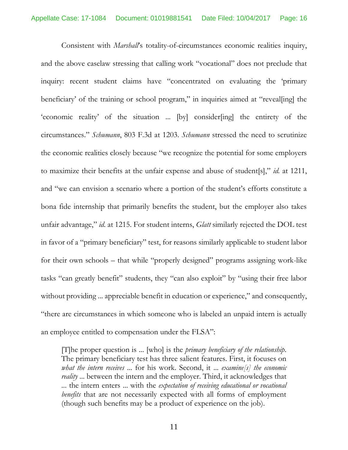Consistent with *Marshall*'s totality-of-circumstances economic realities inquiry, and the above caselaw stressing that calling work "vocational" does not preclude that inquiry: recent student claims have "concentrated on evaluating the 'primary beneficiary' of the training or school program," in inquiries aimed at "reveal[ing] the 'economic reality' of the situation ... [by] consider[ing] the entirety of the circumstances." *Schumann*, 803 F.3d at 1203. *Schumann* stressed the need to scrutinize the economic realities closely because "we recognize the potential for some employers to maximize their benefits at the unfair expense and abuse of student[s]," *id.* at 1211, and "we can envision a scenario where a portion of the student's efforts constitute a bona fide internship that primarily benefits the student, but the employer also takes unfair advantage," *id*. at 1215. For student interns, *Glatt* similarly rejected the DOL test in favor of a "primary beneficiary" test, for reasons similarly applicable to student labor for their own schools – that while "properly designed" programs assigning work-like tasks "can greatly benefit" students, they "can also exploit" by "using their free labor without providing ... appreciable benefit in education or experience," and consequently, "there are circumstances in which someone who is labeled an unpaid intern is actually an employee entitled to compensation under the FLSA":

[T]he proper question is ... [who] is the *primary beneficiary of the relationship*. The primary beneficiary test has three salient features. First, it focuses on *what the intern receives* ... for his work. Second, it ... *examine[s] the economic reality* ... between the intern and the employer. Third, it acknowledges that ... the intern enters ... with the *expectation of receiving educational or vocational benefits* that are not necessarily expected with all forms of employment (though such benefits may be a product of experience on the job).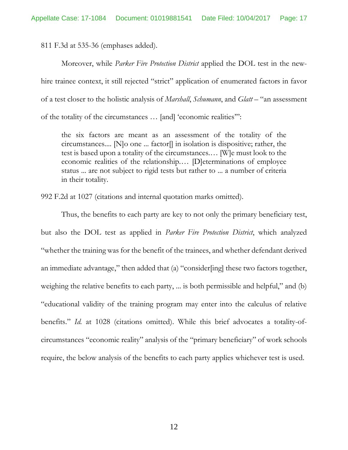811 F.3d at 535-36 (emphases added).

Moreover, while *Parker Fire Protection District* applied the DOL test in the newhire trainee context, it still rejected "strict" application of enumerated factors in favor of a test closer to the holistic analysis of *Marshall*, *Schumann*, and *Glatt* – "an assessment of the totality of the circumstances … [and] 'economic realities'":

the six factors are meant as an assessment of the totality of the circumstances.... [N]o one ... factor[] in isolation is dispositive; rather, the test is based upon a totality of the circumstances.… [W]e must look to the economic realities of the relationship.… [D]eterminations of employee status ... are not subject to rigid tests but rather to ... a number of criteria in their totality.

992 F.2d at 1027 (citations and internal quotation marks omitted).

Thus, the benefits to each party are key to not only the primary beneficiary test, but also the DOL test as applied in *Parker Fire Protection District*, which analyzed "whether the training was for the benefit of the trainees, and whether defendant derived an immediate advantage," then added that (a) "consider[ing] these two factors together, weighing the relative benefits to each party, ... is both permissible and helpful," and (b) "educational validity of the training program may enter into the calculus of relative benefits." *Id.* at 1028 (citations omitted). While this brief advocates a totality-ofcircumstances "economic reality" analysis of the "primary beneficiary" of work schools require, the below analysis of the benefits to each party applies whichever test is used.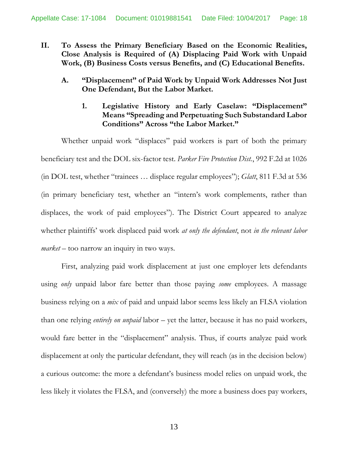- **II. To Assess the Primary Beneficiary Based on the Economic Realities, Close Analysis is Required of (A) Displacing Paid Work with Unpaid Work, (B) Business Costs versus Benefits, and (C) Educational Benefits.**
	- **A. "Displacement" of Paid Work by Unpaid Work Addresses Not Just One Defendant, But the Labor Market.**
		- **1. Legislative History and Early Caselaw: "Displacement" Means "Spreading and Perpetuating Such Substandard Labor Conditions" Across "the Labor Market."**

Whether unpaid work "displaces" paid workers is part of both the primary beneficiary test and the DOL six-factor test. *Parker Fire Protection Dist.*, 992 F.2d at 1026 (in DOL test, whether "trainees … displace regular employees"); *Glatt*, 811 F.3d at 536 (in primary beneficiary test, whether an "intern's work complements, rather than displaces, the work of paid employees"). The District Court appeared to analyze whether plaintiffs' work displaced paid work *at only the defendant*, not *in the relevant labor market* – too narrow an inquiry in two ways.

First, analyzing paid work displacement at just one employer lets defendants using *only* unpaid labor fare better than those paying *some* employees. A massage business relying on a *mix* of paid and unpaid labor seems less likely an FLSA violation than one relying *entirely on unpaid* labor – yet the latter, because it has no paid workers, would fare better in the "displacement" analysis. Thus, if courts analyze paid work displacement at only the particular defendant, they will reach (as in the decision below) a curious outcome: the more a defendant's business model relies on unpaid work, the less likely it violates the FLSA, and (conversely) the more a business does pay workers,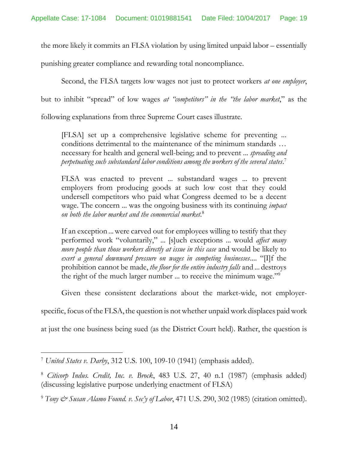the more likely it commits an FLSA violation by using limited unpaid labor – essentially

punishing greater compliance and rewarding total noncompliance.

Second, the FLSA targets low wages not just to protect workers *at one employer*,

but to inhibit "spread" of low wages *at "competitors" in the "the labor market*," as the

following explanations from three Supreme Court cases illustrate.

[FLSA] set up a comprehensive legislative scheme for preventing ... conditions detrimental to the maintenance of the minimum standards … necessary for health and general well-being; and to prevent ... *spreading and perpetuating such substandard labor conditions among the workers of the several states*. 7

FLSA was enacted to prevent ... substandard wages ... to prevent employers from producing goods at such low cost that they could undersell competitors who paid what Congress deemed to be a decent wage. The concern ... was the ongoing business with its continuing *impact on both the labor market and the commercial market*. 8

If an exception ...were carved out for employees willing to testify that they performed work "voluntarily," ... [s]uch exceptions ... would *affect many more people than those workers directly at issue in this case* and would be likely to *exert a general downward pressure on wages in competing businesses*.... "[I]f the prohibition cannot be made, *the floor for the entire industry falls* and ... destroys the right of the much larger number ... to receive the minimum wage."<sup>9</sup>

Given these consistent declarations about the market-wide, not employer-

specific, focus of the FLSA, the question is not whether unpaid work displaces paid work

at just the one business being sued (as the District Court held). Rather, the question is

<sup>7</sup> *United States v. Darby*, 312 U.S. 100, 109-10 (1941) (emphasis added).

<sup>8</sup> *Citicorp Indus. Credit, Inc. v. Brock*, 483 U.S. 27, 40 n.1 (1987) (emphasis added) (discussing legislative purpose underlying enactment of FLSA)

<sup>9</sup> *Tony & Susan Alamo Found. v. Sec'y of Labor*, 471 U.S. 290, 302 (1985) (citation omitted).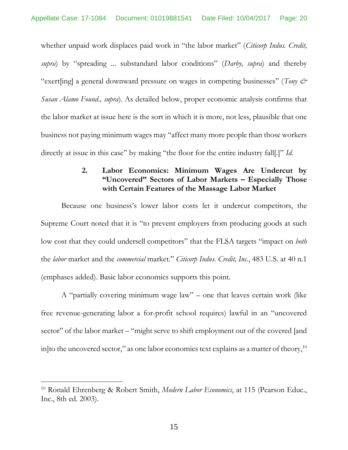whether unpaid work displaces paid work in "the labor market" (*Citicorp Indus. Credit, supra*) by "spreading ... substandard labor conditions" (*Darby, supra*) and thereby "exert[ing] a general downward pressure on wages in competing businesses" (*Tony & Susan Alamo Found., supra*). As detailed below, proper economic analysis confirms that the labor market at issue here is the sort in which it is more, not less, plausible that one business not paying minimum wages may "affect many more people than those workers directly at issue in this case" by making "the floor for the entire industry fall[.]" *Id.* 

## **2. Labor Economics: Minimum Wages Are Undercut by "Uncovered" Sectors of Labor Markets – Especially Those with Certain Features of the Massage Labor Market**

Because one business's lower labor costs let it undercut competitors, the Supreme Court noted that it is "to prevent employers from producing goods at such low cost that they could undersell competitors" that the FLSA targets "impact on *both* the *labor* market and the *commercial* market." *Citicorp Indus. Credit, Inc.*, 483 U.S. at 40 n.1 (emphases added). Basic labor economics supports this point.

A "partially covering minimum wage law" – one that leaves certain work (like free revenue-generating labor a for-profit school requires) lawful in an "uncovered sector" of the labor market – "might serve to shift employment out of the covered [and in] to the uncovered sector," as one labor economics text explains as a matter of theory,  $^{10}$ 

<sup>10</sup> Ronald Ehrenberg & Robert Smith, *Modern Labor Economics*, at 115 (Pearson Educ., Inc., 8th ed. 2003).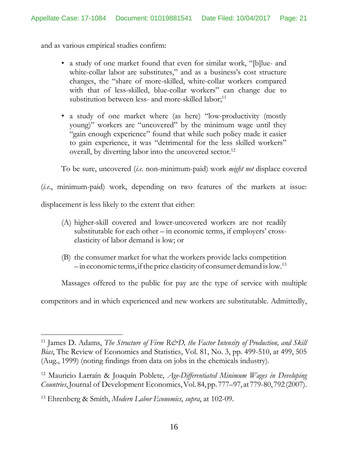and as various empirical studies confirm:

- a study of one market found that even for similar work, "[b]lue- and white-collar labor are substitutes," and as a business's cost structure changes, the "share of more-skilled, white-collar workers compared with that of less-skilled, blue-collar workers" can change due to substitution between less- and more-skilled labor;<sup>11</sup>
- a study of one market where (as here) "low-productivity (mostly young)" workers are "uncovered" by the minimum wage until they "gain enough experience" found that while such policy made it easier to gain experience, it was "detrimental for the less skilled workers" overall, by diverting labor into the uncovered sector.<sup>12</sup>

To be sure, uncovered (*i.e.* non-minimum-paid) work *might not* displace covered

(*i.e.*, minimum-paid) work, depending on two features of the markets at issue:

displacement is less likely to the extent that either:

 $\overline{a}$ 

- (A) higher-skill covered and lower-uncovered workers are not readily substitutable for each other – in economic terms, if employers' crosselasticity of labor demand is low; or
- (B) the consumer market for what the workers provide lacks competition  $-$  in economic terms, if the price elasticity of consumer demand is low.<sup>13</sup>

Massages offered to the public for pay are the type of service with multiple

competitors and in which experienced and new workers are substitutable. Admittedly,

<sup>&</sup>lt;sup>11</sup> James D. Adams, *The Structure of Firm R&D*, the Factor Intensity of Production, and Skill *Bias*, The Review of Economics and Statistics, Vol. 81, No. 3, pp. 499-510, at 499, 505 (Aug., 1999) (noting findings from data on jobs in the chemicals industry).

<sup>12</sup> Mauricio Larraín & Joaquín Poblete, *Age-Differentiated Minimum Wages in Developing Countries*,Journal of Development Economics,Vol.84,pp. 777–97, at779-80,792 (2007).

<sup>13</sup> Ehrenberg & Smith, *Modern Labor Economics*, *supra*, at 102-09.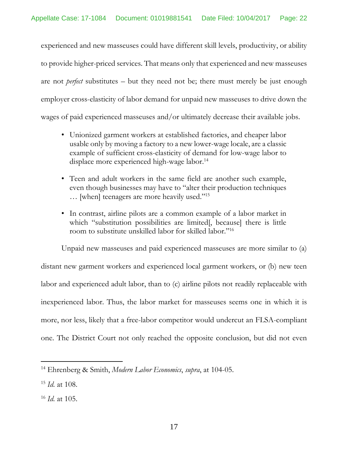experienced and new masseuses could have different skill levels, productivity, or ability to provide higher-priced services. That means only that experienced and new masseuses are not *perfect* substitutes – but they need not be; there must merely be just enough employer cross-elasticity of labor demand for unpaid new masseuses to drive down the wages of paid experienced masseuses and/or ultimately decrease their available jobs.

- Unionized garment workers at established factories, and cheaper labor usable only by moving a factory to a new lower-wage locale, are a classic example of sufficient cross-elasticity of demand for low-wage labor to displace more experienced high-wage labor.<sup>14</sup>
- Teen and adult workers in the same field are another such example, even though businesses may have to "alter their production techniques … [when] teenagers are more heavily used."<sup>15</sup>
- In contrast, airline pilots are a common example of a labor market in which "substitution possibilities are limited. because there is little room to substitute unskilled labor for skilled labor."<sup>16</sup>

Unpaid new masseuses and paid experienced masseuses are more similar to (a) distant new garment workers and experienced local garment workers, or (b) new teen labor and experienced adult labor, than to (c) airline pilots not readily replaceable with inexperienced labor. Thus, the labor market for masseuses seems one in which it is more, nor less, likely that a free-labor competitor would undercut an FLSA-compliant one. The District Court not only reached the opposite conclusion, but did not even

<sup>14</sup> Ehrenberg & Smith, *Modern Labor Economics*, *supra*, at 104-05.

<sup>15</sup> *Id.* at 108.

<sup>16</sup> *Id.* at 105.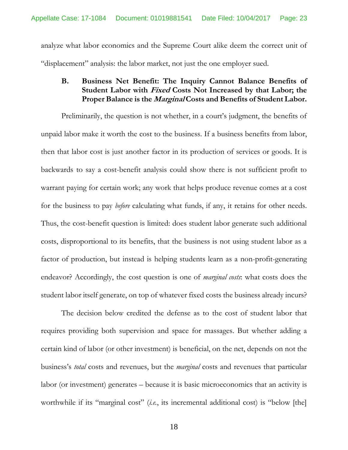analyze what labor economics and the Supreme Court alike deem the correct unit of "displacement" analysis: the labor market, not just the one employer sued.

## **B. Business Net Benefit: The Inquiry Cannot Balance Benefits of Student Labor with Fixed Costs Not Increased by that Labor; the Proper Balance is the Marginal Costs and Benefits of Student Labor.**

Preliminarily, the question is not whether, in a court's judgment, the benefits of unpaid labor make it worth the cost to the business. If a business benefits from labor, then that labor cost is just another factor in its production of services or goods. It is backwards to say a cost-benefit analysis could show there is not sufficient profit to warrant paying for certain work; any work that helps produce revenue comes at a cost for the business to pay *before* calculating what funds, if any, it retains for other needs. Thus, the cost-benefit question is limited: does student labor generate such additional costs, disproportional to its benefits, that the business is not using student labor as a factor of production, but instead is helping students learn as a non-profit-generating endeavor? Accordingly, the cost question is one of *marginal costs*: what costs does the student labor itself generate, on top of whatever fixed costs the business already incurs?

The decision below credited the defense as to the cost of student labor that requires providing both supervision and space for massages. But whether adding a certain kind of labor (or other investment) is beneficial, on the net, depends on not the business's *total* costs and revenues, but the *marginal* costs and revenues that particular labor (or investment) generates – because it is basic microeconomics that an activity is worthwhile if its "marginal cost" (*i.e.*, its incremental additional cost) is "below [the]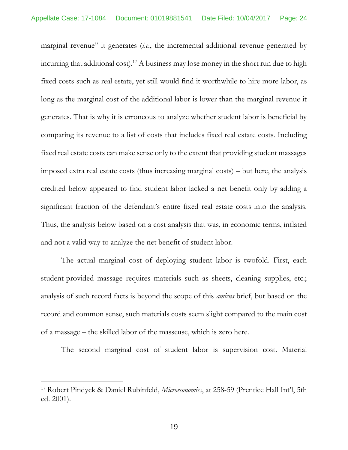marginal revenue" it generates (*i.e.*, the incremental additional revenue generated by incurring that additional cost).<sup>17</sup> A business may lose money in the short run due to high fixed costs such as real estate, yet still would find it worthwhile to hire more labor, as long as the marginal cost of the additional labor is lower than the marginal revenue it generates. That is why it is erroneous to analyze whether student labor is beneficial by comparing its revenue to a list of costs that includes fixed real estate costs. Including fixed real estate costs can make sense only to the extent that providing student massages imposed extra real estate costs (thus increasing marginal costs) – but here, the analysis credited below appeared to find student labor lacked a net benefit only by adding a significant fraction of the defendant's entire fixed real estate costs into the analysis. Thus, the analysis below based on a cost analysis that was, in economic terms, inflated and not a valid way to analyze the net benefit of student labor.

The actual marginal cost of deploying student labor is twofold. First, each student-provided massage requires materials such as sheets, cleaning supplies, etc.; analysis of such record facts is beyond the scope of this *amicus* brief, but based on the record and common sense, such materials costs seem slight compared to the main cost of a massage – the skilled labor of the masseuse, which is zero here.

The second marginal cost of student labor is supervision cost. Material

<sup>17</sup> Robert Pindyck & Daniel Rubinfeld, *Microeconomics*, at 258-59 (Prentice Hall Int'l, 5th ed. 2001).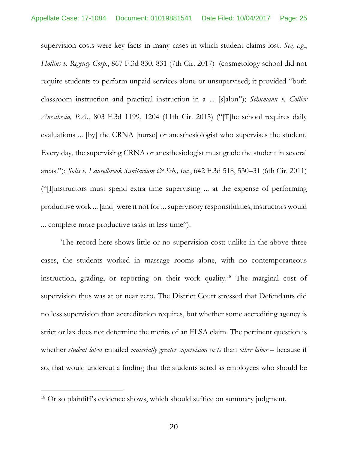supervision costs were key facts in many cases in which student claims lost. *See, e.g.*, *Hollins v. Regency Corp.*, 867 F.3d 830, 831 (7th Cir. 2017) (cosmetology school did not require students to perform unpaid services alone or unsupervised; it provided "both classroom instruction and practical instruction in a ... [s]alon"); *Schumann v. Collier Anesthesia, P.A.*, 803 F.3d 1199, 1204 (11th Cir. 2015) ("[T]he school requires daily evaluations ... [by] the CRNA [nurse] or anesthesiologist who supervises the student. Every day, the supervising CRNA or anesthesiologist must grade the student in several areas."); *Solis v. Laurelbrook Sanitarium & Sch., Inc.*, 642 F.3d 518, 530–31 (6th Cir. 2011) ("[I]instructors must spend extra time supervising ... at the expense of performing productive work ... [and] were it not for ... supervisory responsibilities, instructors would ... complete more productive tasks in less time").

The record here shows little or no supervision cost: unlike in the above three cases, the students worked in massage rooms alone, with no contemporaneous instruction, grading, or reporting on their work quality. <sup>18</sup> The marginal cost of supervision thus was at or near zero. The District Court stressed that Defendants did no less supervision than accreditation requires, but whether some accrediting agency is strict or lax does not determine the merits of an FLSA claim. The pertinent question is whether *student labor* entailed *materially greater supervision costs* than *other labor* – because if so, that would undercut a finding that the students acted as employees who should be

<sup>&</sup>lt;sup>18</sup> Or so plaintiff's evidence shows, which should suffice on summary judgment.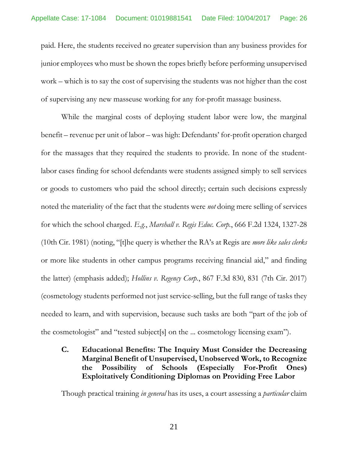paid. Here, the students received no greater supervision than any business provides for junior employees who must be shown the ropes briefly before performing unsupervised work – which is to say the cost of supervising the students was not higher than the cost of supervising any new masseuse working for any for-profit massage business.

While the marginal costs of deploying student labor were low, the marginal benefit – revenue per unit of labor – was high: Defendants' for-profit operation charged for the massages that they required the students to provide. In none of the studentlabor cases finding for school defendants were students assigned simply to sell services or goods to customers who paid the school directly; certain such decisions expressly noted the materiality of the fact that the students were *not* doing mere selling of services for which the school charged. *E.g.*, *Marshall v. Regis Educ. Corp.*, 666 F.2d 1324, 1327-28 (10th Cir. 1981) (noting, "[t]he query is whether the RA's at Regis are *more like sales clerks* or more like students in other campus programs receiving financial aid," and finding the latter) (emphasis added); *Hollins v. Regency Corp.*, 867 F.3d 830, 831 (7th Cir. 2017) (cosmetology students performed not just service-selling, but the full range of tasks they needed to learn, and with supervision, because such tasks are both "part of the job of the cosmetologist" and "tested subject[s] on the ... cosmetology licensing exam").

**C. Educational Benefits: The Inquiry Must Consider the Decreasing Marginal Benefit of Unsupervised, Unobserved Work, to Recognize the Possibility of Schools (Especially For-Profit Ones) Exploitatively Conditioning Diplomas on Providing Free Labor**

Though practical training *in general* has its uses, a court assessing a *particular* claim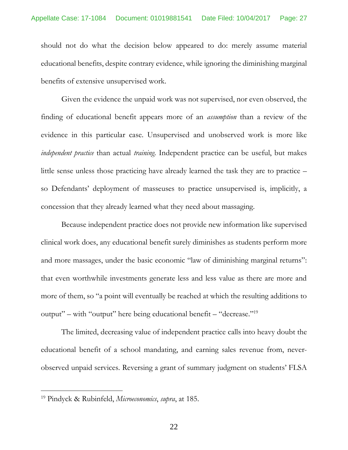should not do what the decision below appeared to do: merely assume material educational benefits, despite contrary evidence, while ignoring the diminishing marginal benefits of extensive unsupervised work.

Given the evidence the unpaid work was not supervised, nor even observed, the finding of educational benefit appears more of an *assumption* than a review of the evidence in this particular case. Unsupervised and unobserved work is more like *independent practice* than actual *training*. Independent practice can be useful, but makes little sense unless those practicing have already learned the task they are to practice – so Defendants' deployment of masseuses to practice unsupervised is, implicitly, a concession that they already learned what they need about massaging.

Because independent practice does not provide new information like supervised clinical work does, any educational benefit surely diminishes as students perform more and more massages, under the basic economic "law of diminishing marginal returns": that even worthwhile investments generate less and less value as there are more and more of them, so "a point will eventually be reached at which the resulting additions to output" – with "output" here being educational benefit – "decrease."<sup>19</sup>

The limited, decreasing value of independent practice calls into heavy doubt the educational benefit of a school mandating, and earning sales revenue from, neverobserved unpaid services. Reversing a grant of summary judgment on students' FLSA

<sup>19</sup> Pindyck & Rubinfeld, *Microeconomics*, *supra*, at 185.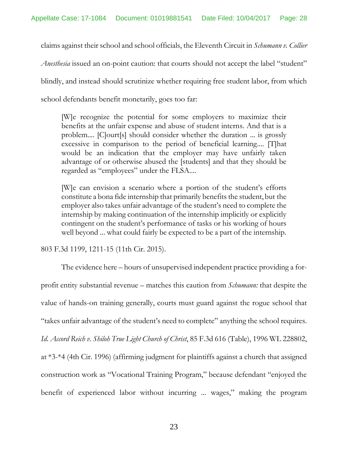claims against their school and school officials, the Eleventh Circuit in *Schumann v. Collier Anesthesia* issued an on-point caution: that courts should not accept the label "student" blindly, and instead should scrutinize whether requiring free student labor, from which school defendants benefit monetarily, goes too far:

[W]e recognize the potential for some employers to maximize their benefits at the unfair expense and abuse of student interns. And that is a problem.... [C]ourt[s] should consider whether the duration ... is grossly excessive in comparison to the period of beneficial learning.... [T]hat would be an indication that the employer may have unfairly taken advantage of or otherwise abused the [students] and that they should be regarded as "employees" under the FLSA....

[W]e can envision a scenario where a portion of the student's efforts constitute a bona fide internship that primarily benefits the student, but the employer also takes unfair advantage of the student's need to complete the internship by making continuation of the internship implicitly or explicitly contingent on the student's performance of tasks or his working of hours well beyond ... what could fairly be expected to be a part of the internship.

803 F.3d 1199, 1211-15 (11th Cir. 2015).

The evidence here – hours of unsupervised independent practice providing a forprofit entity substantial revenue – matches this caution from *Schumann:* that despite the value of hands-on training generally, courts must guard against the rogue school that "takes unfair advantage of the student's need to complete" anything the school requires. *Id*. *Accord Reich v. Shiloh True Light Church of Christ*, 85 F.3d 616 (Table), 1996 WL 228802, at \*3-\*4 (4th Cir. 1996) (affirming judgment for plaintiffs against a church that assigned construction work as "Vocational Training Program," because defendant "enjoyed the benefit of experienced labor without incurring ... wages," making the program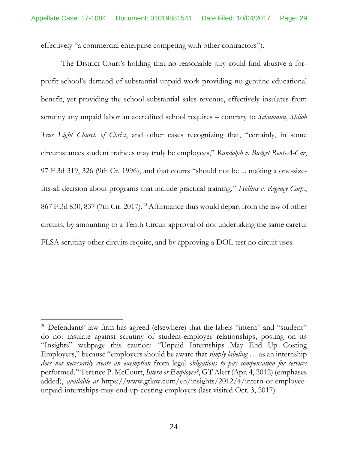effectively "a commercial enterprise competing with other contractors").

The District Court's holding that no reasonable jury could find abusive a forprofit school's demand of substantial unpaid work providing no genuine educational benefit, yet providing the school substantial sales revenue, effectively insulates from scrutiny any unpaid labor an accredited school requires – contrary to *Schumann*, *Shiloh True Light Church of Christ*, and other cases recognizing that, "certainly, in some circumstances student trainees may truly be employees," *Randolph v. Budget Rent-A-Car*, 97 F.3d 319, 326 (9th Cr. 1996), and that courts "should not be ... making a one-sizefits-all decision about programs that include practical training," *Hollins v. Regency Corp.*, 867 F.3d 830, 837 (7th Cir. 2017). <sup>20</sup> Affirmance thus would depart from the law of other circuits, by amounting to a Tenth Circuit approval of not undertaking the same careful FLSA scrutiny other circuits require, and by approving a DOL test no circuit uses.

<sup>&</sup>lt;sup>20</sup> Defendants' law firm has agreed (elsewhere) that the labels "intern" and "student" do not insulate against scrutiny of student-employer relationships, posting on its "Insights" webpage this caution: "Unpaid Internships May End Up Costing Employers," because "employers should be aware that *simply labeling* … as an internship *does not necessarily create an exemption* from legal *obligations to pay compensation for services* performed." Terence P. McCourt, *Intern or Employee?*, GT Alert (Apr. 4, 2012) (emphases added), *available at* https://www.gtlaw.com/en/insights/2012/4/intern-or-employeeunpaid-internships-may-end-up-costing-employers (last visited Oct. 3, 2017).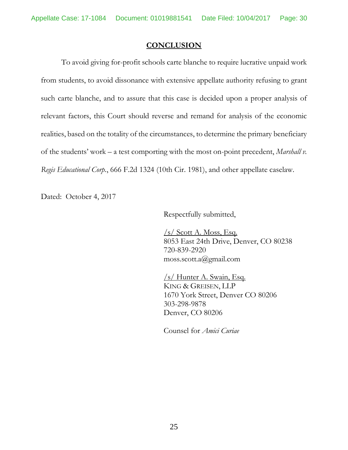### **CONCLUSION**

To avoid giving for-profit schools carte blanche to require lucrative unpaid work from students, to avoid dissonance with extensive appellate authority refusing to grant such carte blanche, and to assure that this case is decided upon a proper analysis of relevant factors, this Court should reverse and remand for analysis of the economic realities, based on the totality of the circumstances, to determine the primary beneficiary of the students' work – a test comporting with the most on-point precedent, *Marshall v. Regis Educational Corp.*, 666 F.2d 1324 (10th Cir. 1981), and other appellate caselaw.

Dated: October 4, 2017

Respectfully submitted,

 $/s/$  Scott A. Moss, Esq. 8053 East 24th Drive, Denver, CO 80238 720-839-2920 moss.scott.a@gmail.com

/s/ Hunter A. Swain, Esq. KING & GREISEN, LLP 1670 York Street, Denver CO 80206 303-298-9878 Denver, CO 80206

Counsel for *Amici Curiae*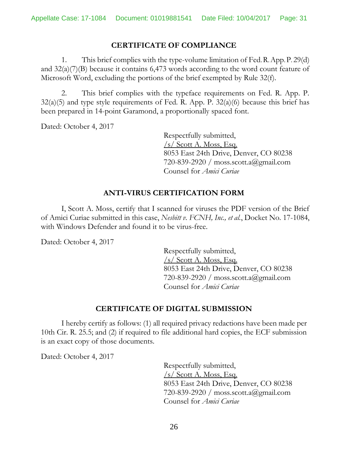### **CERTIFICATE OF COMPLIANCE**

1. This brief complies with the type-volume limitation of Fed.R.App.P. 29(d) and 32(a)(7)(B) because it contains 6,473 words according to the word count feature of Microsoft Word, excluding the portions of the brief exempted by Rule 32(f).

2. This brief complies with the typeface requirements on Fed. R. App. P.  $32(a)(5)$  and type style requirements of Fed. R. App. P.  $32(a)(6)$  because this brief has been prepared in 14-point Garamond, a proportionally spaced font.

Dated: October 4, 2017

Respectfully submitted, /s/ Scott A. Moss, Esq. 8053 East 24th Drive, Denver, CO 80238 720-839-2920 / moss.scott.a@gmail.com Counsel for *Amici Curiae*

## **ANTI-VIRUS CERTIFICATION FORM**

I, Scott A. Moss, certify that I scanned for viruses the PDF version of the Brief of Amici Curiae submitted in this case, *Nesbitt v. FCNH, Inc., et al.*, Docket No. 17-1084, with Windows Defender and found it to be virus-free.

Dated: October 4, 2017

Respectfully submitted,  $\sqrt{s}$  Scott A. Moss, Esq. 8053 East 24th Drive, Denver, CO 80238 720-839-2920 / moss.scott.a@gmail.com Counsel for *Amici Curiae*

### **CERTIFICATE OF DIGITAL SUBMISSION**

I hereby certify as follows: (1) all required privacy redactions have been made per 10th Cir. R. 25.5; and (2) if required to file additional hard copies, the ECF submission is an exact copy of those documents.

Dated: October 4, 2017

Respectfully submitted,  $\sqrt{s}$  Scott A. Moss, Esq. 8053 East 24th Drive, Denver, CO 80238 720-839-2920 / moss.scott.a@gmail.com Counsel for *Amici Curiae*